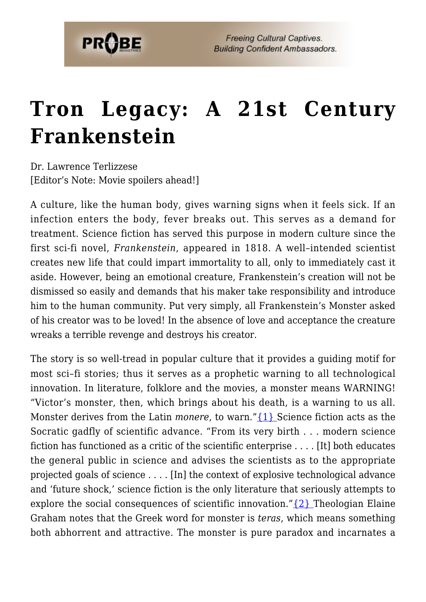## **[Tron Legacy: A 21st Century](https://probe.org/tron-legacy-a-21st-century-frankenstein/) [Frankenstein](https://probe.org/tron-legacy-a-21st-century-frankenstein/)**

Dr. Lawrence Terlizzese [Editor's Note: Movie spoilers ahead!]

A culture, like the human body, gives warning signs when it feels sick. If an infection enters the body, fever breaks out. This serves as a demand for treatment. Science fiction has served this purpose in modern culture since the first sci-fi novel, *Frankenstein*, appeared in 1818. A well–intended scientist creates new life that could impart immortality to all, only to immediately cast it aside. However, being an emotional creature, Frankenstein's creation will not be dismissed so easily and demands that his maker take responsibility and introduce him to the human community. Put very simply, all Frankenstein's Monster asked of his creator was to be loved! In the absence of love and acceptance the creature wreaks a terrible revenge and destroys his creator.

<span id="page-0-1"></span><span id="page-0-0"></span>The story is so well-tread in popular culture that it provides a guiding motif for most sci–fi stories; thus it serves as a prophetic warning to all technological innovation. In literature, folklore and the movies, a monster means WARNING! "Victor's monster, then, which brings about his death, is a warning to us all. Monster derives from the Latin *monere*, to warn." {1} Science fiction acts as the Socratic gadfly of scientific advance. "From its very birth . . . modern science fiction has functioned as a critic of the scientific enterprise . . . . [It] both educates the general public in science and advises the scientists as to the appropriate projected goals of science . . . . [In] the context of explosive technological advance and 'future shock,' science fiction is the only literature that seriously attempts to explore the social consequences of scientific innovation." $\{2\}$  Theologian Elaine Graham notes that the Greek word for monster is *teras*, which means something both abhorrent and attractive. The monster is pure paradox and incarnates a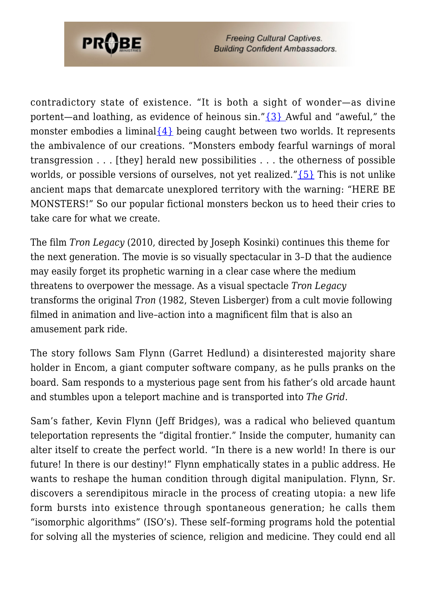

<span id="page-1-1"></span><span id="page-1-0"></span>contradictory state of existence. "It is both a sight of wonder—as divine portent—and loathing, as evidence of heinous  $\sin$ ." $\{3\}$  Awful and "aweful," the monster embodies a liminal  $\{4\}$  being caught between two worlds. It represents the ambivalence of our creations. "Monsters embody fearful warnings of moral transgression . . . [they] herald new possibilities . . . the otherness of possible worlds, or possible versions of ourselves, not yet realized." $\{5\}$  This is not unlike ancient maps that demarcate unexplored territory with the warning: "HERE BE MONSTERS!" So our popular fictional monsters beckon us to heed their cries to take care for what we create.

<span id="page-1-2"></span>The film *Tron Legacy* (2010, directed by Joseph Kosinki) continues this theme for the next generation. The movie is so visually spectacular in 3–D that the audience may easily forget its prophetic warning in a clear case where the medium threatens to overpower the message. As a visual spectacle *Tron Legacy* transforms the original *Tron* (1982, Steven Lisberger) from a cult movie following filmed in animation and live–action into a magnificent film that is also an amusement park ride.

The story follows Sam Flynn (Garret Hedlund) a disinterested majority share holder in Encom, a giant computer software company, as he pulls pranks on the board. Sam responds to a mysterious page sent from his father's old arcade haunt and stumbles upon a teleport machine and is transported into *The Grid*.

Sam's father, Kevin Flynn (Jeff Bridges), was a radical who believed quantum teleportation represents the "digital frontier." Inside the computer, humanity can alter itself to create the perfect world. "In there is a new world! In there is our future! In there is our destiny!" Flynn emphatically states in a public address. He wants to reshape the human condition through digital manipulation. Flynn, Sr. discovers a serendipitous miracle in the process of creating utopia: a new life form bursts into existence through spontaneous generation; he calls them "isomorphic algorithms" (ISO's). These self–forming programs hold the potential for solving all the mysteries of science, religion and medicine. They could end all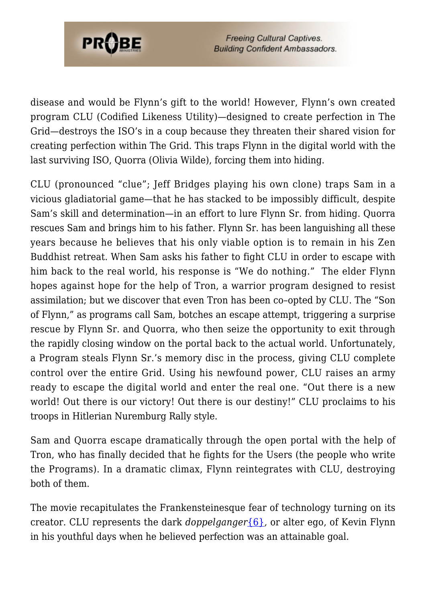

**Freeing Cultural Captives. Building Confident Ambassadors.** 

disease and would be Flynn's gift to the world! However, Flynn's own created program CLU (Codified Likeness Utility)—designed to create perfection in The Grid—destroys the ISO's in a coup because they threaten their shared vision for creating perfection within The Grid. This traps Flynn in the digital world with the last surviving ISO, Quorra (Olivia Wilde), forcing them into hiding.

CLU (pronounced "clue"; Jeff Bridges playing his own clone) traps Sam in a vicious gladiatorial game—that he has stacked to be impossibly difficult, despite Sam's skill and determination—in an effort to lure Flynn Sr. from hiding. Quorra rescues Sam and brings him to his father. Flynn Sr. has been languishing all these years because he believes that his only viable option is to remain in his Zen Buddhist retreat. When Sam asks his father to fight CLU in order to escape with him back to the real world, his response is "We do nothing." The elder Flynn hopes against hope for the help of Tron, a warrior program designed to resist assimilation; but we discover that even Tron has been co–opted by CLU. The "Son of Flynn," as programs call Sam, botches an escape attempt, triggering a surprise rescue by Flynn Sr. and Quorra, who then seize the opportunity to exit through the rapidly closing window on the portal back to the actual world. Unfortunately, a Program steals Flynn Sr.'s memory disc in the process, giving CLU complete control over the entire Grid. Using his newfound power, CLU raises an army ready to escape the digital world and enter the real one. "Out there is a new world! Out there is our victory! Out there is our destiny!" CLU proclaims to his troops in Hitlerian Nuremburg Rally style.

Sam and Quorra escape dramatically through the open portal with the help of Tron, who has finally decided that he fights for the Users (the people who write the Programs). In a dramatic climax, Flynn reintegrates with CLU, destroying both of them.

<span id="page-2-0"></span>The movie recapitulates the Frankensteinesque fear of technology turning on its creator. CLU represents the dark *doppelganger*[{6}](#page-5-1)*,* or alter ego, of Kevin Flynn in his youthful days when he believed perfection was an attainable goal.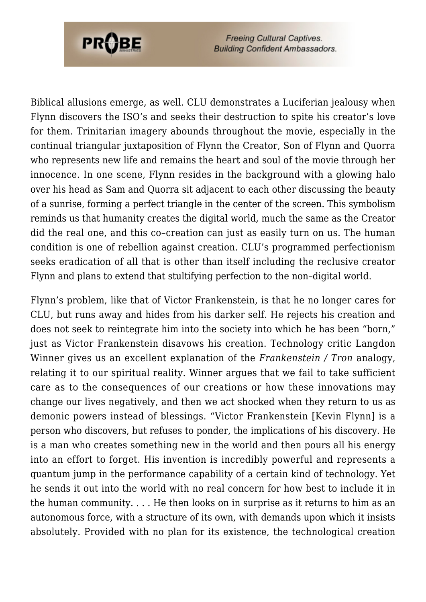

**Freeing Cultural Captives. Building Confident Ambassadors.** 

Biblical allusions emerge, as well. CLU demonstrates a Luciferian jealousy when Flynn discovers the ISO's and seeks their destruction to spite his creator's love for them. Trinitarian imagery abounds throughout the movie, especially in the continual triangular juxtaposition of Flynn the Creator, Son of Flynn and Quorra who represents new life and remains the heart and soul of the movie through her innocence. In one scene, Flynn resides in the background with a glowing halo over his head as Sam and Quorra sit adjacent to each other discussing the beauty of a sunrise, forming a perfect triangle in the center of the screen. This symbolism reminds us that humanity creates the digital world, much the same as the Creator did the real one, and this co–creation can just as easily turn on us. The human condition is one of rebellion against creation. CLU's programmed perfectionism seeks eradication of all that is other than itself including the reclusive creator Flynn and plans to extend that stultifying perfection to the non–digital world.

<span id="page-3-0"></span>Flynn's problem, like that of Victor Frankenstein, is that he no longer cares for CLU, but runs away and hides from his darker self. He rejects his creation and does not seek to reintegrate him into the society into which he has been "born," just as Victor Frankenstein disavows his creation. Technology critic Langdon Winner gives us an excellent explanation of the *Frankenstein / Tron* analogy, relating it to our spiritual reality. Winner argues that we fail to take sufficient care as to the consequences of our creations or how these innovations may change our lives negatively, and then we act shocked when they return to us as demonic powers instead of blessings. "Victor Frankenstein [Kevin Flynn] is a person who discovers, but refuses to ponder, the implications of his discovery. He is a man who creates something new in the world and then pours all his energy into an effort to forget. His invention is incredibly powerful and represents a quantum jump in the performance capability of a certain kind of technology. Yet he sends it out into the world with no real concern for how best to include it in the human community. . . . He then looks on in surprise as it returns to him as an autonomous force, with a structure of its own, with demands upon which it insists absolutely. Provided with no plan for its existence, the technological creation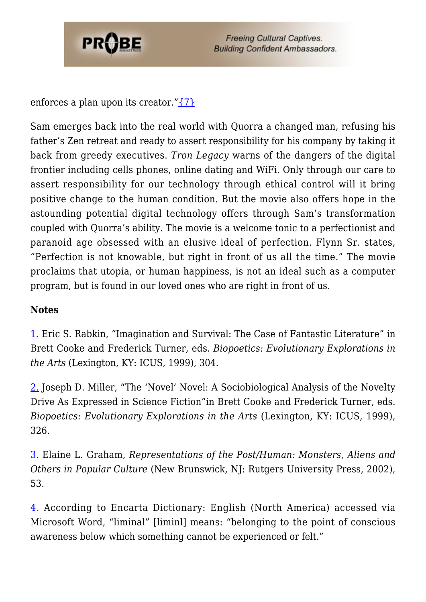

**Freeing Cultural Captives. Building Confident Ambassadors.** 

enforces a plan upon its creator." $\{7\}$ 

Sam emerges back into the real world with Quorra a changed man, refusing his father's Zen retreat and ready to assert responsibility for his company by taking it back from greedy executives. *Tron Legacy* warns of the dangers of the digital frontier including cells phones, online dating and WiFi. Only through our care to assert responsibility for our technology through ethical control will it bring positive change to the human condition. But the movie also offers hope in the astounding potential digital technology offers through Sam's transformation coupled with Quorra's ability. The movie is a welcome tonic to a perfectionist and paranoid age obsessed with an elusive ideal of perfection. Flynn Sr. states, "Perfection is not knowable, but right in front of us all the time." The movie proclaims that utopia, or human happiness, is not an ideal such as a computer program, but is found in our loved ones who are right in front of us.

## **Notes**

<span id="page-4-0"></span>[1.](#page-0-0) Eric S. Rabkin, "Imagination and Survival: The Case of Fantastic Literature" in Brett Cooke and Frederick Turner, eds. *Biopoetics: Evolutionary Explorations in the Arts* (Lexington, KY: ICUS, 1999), 304.

<span id="page-4-1"></span>[2.](#page-0-1) Joseph D. Miller, "The 'Novel' Novel: A Sociobiological Analysis of the Novelty Drive As Expressed in Science Fiction"in Brett Cooke and Frederick Turner, eds. *Biopoetics: Evolutionary Explorations in the Arts* (Lexington, KY: ICUS, 1999), 326.

<span id="page-4-2"></span>[3.](#page-1-0) Elaine L. Graham, *Representations of the Post/Human: Monsters, Aliens and Others in Popular Culture* (New Brunswick, NJ: Rutgers University Press, 2002), 53.

<span id="page-4-3"></span>[4.](#page-1-1) According to Encarta Dictionary: English (North America) accessed via Microsoft Word, "liminal" [liminl] means: "belonging to the point of conscious awareness below which something cannot be experienced or felt."